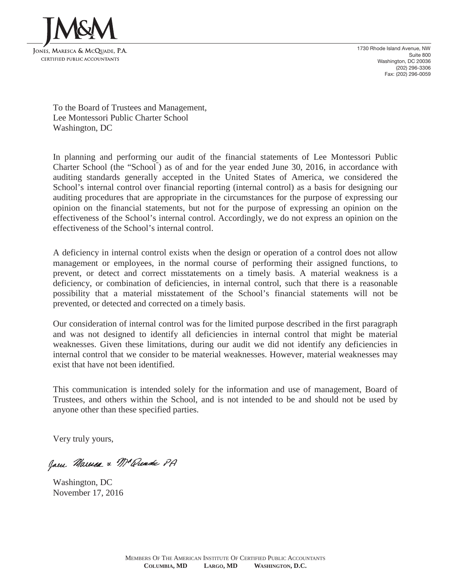

1730 Rhode Island Avenue, NW Suite 800 Washington, DC 20036 (202) 296-3306 Fax: (202) 296-0059

To the Board of Trustees and Management, Lee Montessori Public Charter School Washington, DC

In planning and performing our audit of the financial statements of Lee Montessori Public Charter School (the "School" ) as of and for the year ended June 30, 2016, in accordance with auditing standards generally accepted in the United States of America, we considered the School's internal control over financial reporting (internal control) as a basis for designing our auditing procedures that are appropriate in the circumstances for the purpose of expressing our opinion on the financial statements, but not for the purpose of expressing an opinion on the effectiveness of the School's internal control. Accordingly, we do not express an opinion on the effectiveness of the School's internal control.

A deficiency in internal control exists when the design or operation of a control does not allow management or employees, in the normal course of performing their assigned functions, to prevent, or detect and correct misstatements on a timely basis. A material weakness is a deficiency, or combination of deficiencies, in internal control, such that there is a reasonable possibility that a material misstatement of the School's financial statements will not be prevented, or detected and corrected on a timely basis.

Our consideration of internal control was for the limited purpose described in the first paragraph and was not designed to identify all deficiencies in internal control that might be material weaknesses. Given these limitations, during our audit we did not identify any deficiencies in internal control that we consider to be material weaknesses. However, material weaknesses may exist that have not been identified.

This communication is intended solely for the information and use of management, Board of Trustees, and others within the School, and is not intended to be and should not be used by anyone other than these specified parties.

Very truly yours,

Jam Marusa & Ma Quade PA

Washington, DC November 17, 2016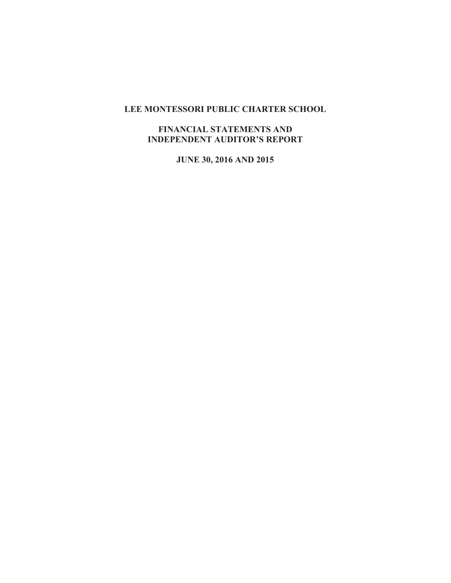# **LEE MONTESSORI PUBLIC CHARTER SCHOOL**

## **FINANCIAL STATEMENTS AND INDEPENDENT AUDITOR'S REPORT**

**JUNE 30, 2016 AND 2015**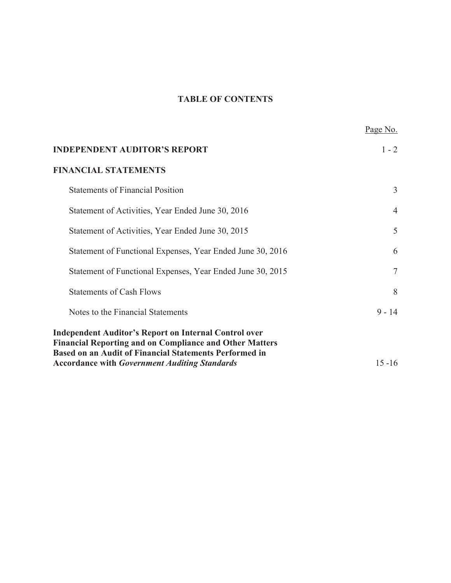# **TABLE OF CONTENTS**

|                                                                                                                                | Page No.       |
|--------------------------------------------------------------------------------------------------------------------------------|----------------|
| <b>INDEPENDENT AUDITOR'S REPORT</b>                                                                                            | $1 - 2$        |
| <b>FINANCIAL STATEMENTS</b>                                                                                                    |                |
| <b>Statements of Financial Position</b>                                                                                        | 3              |
| Statement of Activities, Year Ended June 30, 2016                                                                              | $\overline{4}$ |
| Statement of Activities, Year Ended June 30, 2015                                                                              | 5              |
| Statement of Functional Expenses, Year Ended June 30, 2016                                                                     | 6              |
| Statement of Functional Expenses, Year Ended June 30, 2015                                                                     | $\overline{7}$ |
| <b>Statements of Cash Flows</b>                                                                                                | 8              |
| Notes to the Financial Statements                                                                                              | $9 - 14$       |
| <b>Independent Auditor's Report on Internal Control over</b><br><b>Financial Reporting and on Compliance and Other Matters</b> |                |
| <b>Based on an Audit of Financial Statements Performed in</b><br><b>Accordance with Government Auditing Standards</b>          | $15 - 16$      |
|                                                                                                                                |                |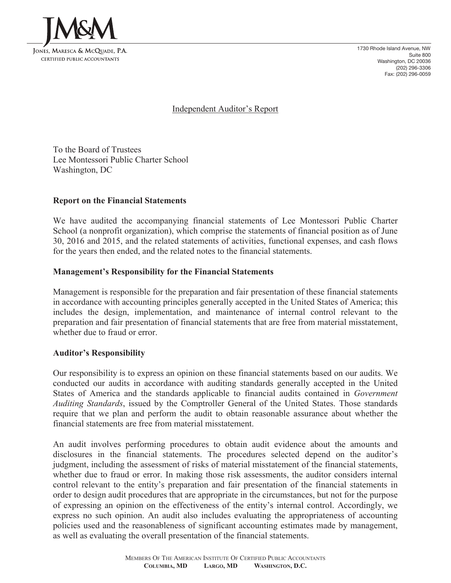

1730 Rhode Island Avenue, NW Suite 800 Washington, DC 20036 (202) 296-3306 Fax: (202) 296-0059

Independent Auditor's Report

To the Board of Trustees Lee Montessori Public Charter School Washington, DC

### **Report on the Financial Statements**

We have audited the accompanying financial statements of Lee Montessori Public Charter School (a nonprofit organization), which comprise the statements of financial position as of June 30, 2016 and 2015, and the related statements of activities, functional expenses, and cash flows for the years then ended, and the related notes to the financial statements.

### **Management's Responsibility for the Financial Statements**

Management is responsible for the preparation and fair presentation of these financial statements in accordance with accounting principles generally accepted in the United States of America; this includes the design, implementation, and maintenance of internal control relevant to the preparation and fair presentation of financial statements that are free from material misstatement, whether due to fraud or error.

#### **Auditor's Responsibility**

Our responsibility is to express an opinion on these financial statements based on our audits. We conducted our audits in accordance with auditing standards generally accepted in the United States of America and the standards applicable to financial audits contained in *Government Auditing Standards*, issued by the Comptroller General of the United States. Those standards require that we plan and perform the audit to obtain reasonable assurance about whether the financial statements are free from material misstatement.

An audit involves performing procedures to obtain audit evidence about the amounts and disclosures in the financial statements. The procedures selected depend on the auditor's judgment, including the assessment of risks of material misstatement of the financial statements, whether due to fraud or error. In making those risk assessments, the auditor considers internal control relevant to the entity's preparation and fair presentation of the financial statements in order to design audit procedures that are appropriate in the circumstances, but not for the purpose of expressing an opinion on the effectiveness of the entity's internal control. Accordingly, we express no such opinion. An audit also includes evaluating the appropriateness of accounting policies used and the reasonableness of significant accounting estimates made by management, as well as evaluating the overall presentation of the financial statements.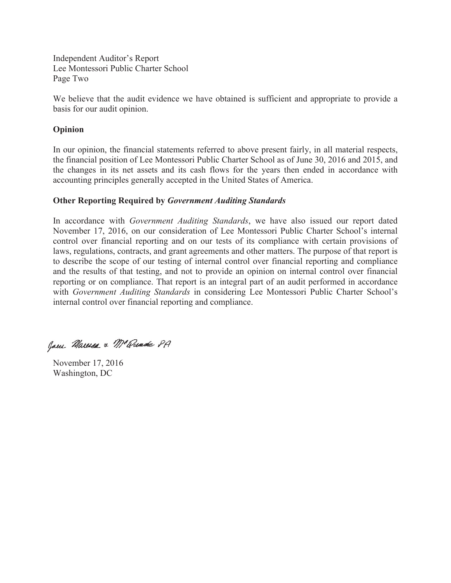Independent Auditor's Report Lee Montessori Public Charter School Page Two

We believe that the audit evidence we have obtained is sufficient and appropriate to provide a basis for our audit opinion.

### **Opinion**

In our opinion, the financial statements referred to above present fairly, in all material respects, the financial position of Lee Montessori Public Charter School as of June 30, 2016 and 2015, and the changes in its net assets and its cash flows for the years then ended in accordance with accounting principles generally accepted in the United States of America.

### **Other Reporting Required by** *Government Auditing Standards*

In accordance with *Government Auditing Standards*, we have also issued our report dated November 17, 2016, on our consideration of Lee Montessori Public Charter School's internal control over financial reporting and on our tests of its compliance with certain provisions of laws, regulations, contracts, and grant agreements and other matters. The purpose of that report is to describe the scope of our testing of internal control over financial reporting and compliance and the results of that testing, and not to provide an opinion on internal control over financial reporting or on compliance. That report is an integral part of an audit performed in accordance with *Government Auditing Standards* in considering Lee Montessori Public Charter School's internal control over financial reporting and compliance.

Jam Marines & Mc Quade PA

November 17, 2016 Washington, DC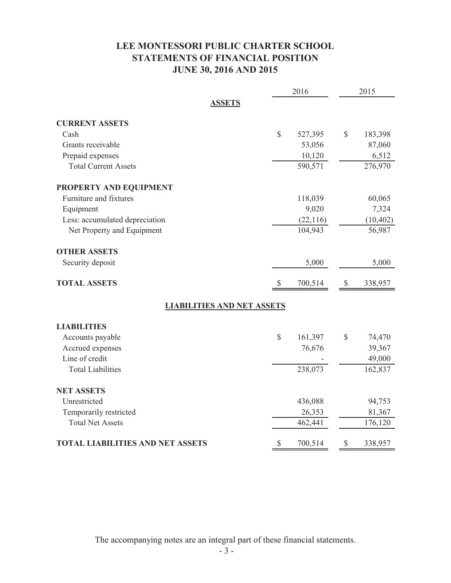# **LEE MONTESSORI PUBLIC CHARTER SCHOOL STATEMENTS OF FINANCIAL POSITION JUNE 30, 2016 AND 2015**

|                                         | 2016                      |           | 2015                      |           |
|-----------------------------------------|---------------------------|-----------|---------------------------|-----------|
| <b>ASSETS</b>                           |                           |           |                           |           |
| <b>CURRENT ASSETS</b>                   |                           |           |                           |           |
| Cash                                    | \$                        | 527,395   | \$                        | 183,398   |
| Grants receivable                       |                           | 53,056    |                           | 87,060    |
| Prepaid expenses                        |                           | 10,120    |                           | 6,512     |
| <b>Total Current Assets</b>             |                           | 590,571   |                           | 276,970   |
| PROPERTY AND EQUIPMENT                  |                           |           |                           |           |
| Furniture and fixtures                  |                           | 118,039   |                           | 60,065    |
| Equipment                               |                           | 9,020     |                           | 7,324     |
| Less: accumulated depreciation          |                           | (22, 116) |                           | (10, 402) |
| Net Property and Equipment              |                           | 104,943   |                           | 56,987    |
| <b>OTHER ASSETS</b>                     |                           |           |                           |           |
| Security deposit                        |                           | 5,000     |                           | 5,000     |
| <b>TOTAL ASSETS</b>                     | $\boldsymbol{\mathsf{S}}$ | 700,514   | $\$$                      | 338,957   |
| <b>LIABILITIES AND NET ASSETS</b>       |                           |           |                           |           |
| <b>LIABILITIES</b>                      |                           |           |                           |           |
| Accounts payable                        | $\mathbb{S}$              | 161,397   | \$                        | 74,470    |
| Accrued expenses                        |                           | 76,676    |                           | 39,367    |
| Line of credit                          |                           |           |                           | 49,000    |
| <b>Total Liabilities</b>                |                           | 238,073   |                           | 162,837   |
| <b>NET ASSETS</b>                       |                           |           |                           |           |
| Unrestricted                            |                           | 436,088   |                           | 94,753    |
| Temporarily restricted                  |                           | 26,353    |                           | 81,367    |
| <b>Total Net Assets</b>                 |                           | 462,441   |                           | 176,120   |
| <b>TOTAL LIABILITIES AND NET ASSETS</b> | \$                        | 700,514   | $\boldsymbol{\mathsf{S}}$ | 338,957   |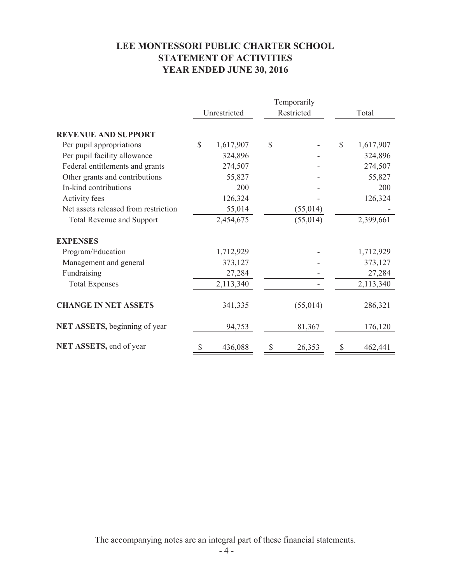# **LEE MONTESSORI PUBLIC CHARTER SCHOOL STATEMENT OF ACTIVITIES YEAR ENDED JUNE 30, 2016**

|                                      | Temporarily   |              |    |            |               |           |  |
|--------------------------------------|---------------|--------------|----|------------|---------------|-----------|--|
|                                      |               | Unrestricted |    | Restricted |               | Total     |  |
| <b>REVENUE AND SUPPORT</b>           |               |              |    |            |               |           |  |
| Per pupil appropriations             | $\mathbb{S}$  | 1,617,907    | \$ |            | $\mathcal{S}$ | 1,617,907 |  |
| Per pupil facility allowance         |               | 324,896      |    |            |               | 324,896   |  |
| Federal entitlements and grants      |               | 274,507      |    |            |               | 274,507   |  |
| Other grants and contributions       |               | 55,827       |    |            |               | 55,827    |  |
| In-kind contributions                |               | 200          |    |            |               | 200       |  |
| Activity fees                        |               | 126,324      |    |            |               | 126,324   |  |
| Net assets released from restriction |               | 55,014       |    | (55, 014)  |               |           |  |
| <b>Total Revenue and Support</b>     |               | 2,454,675    |    | (55, 014)  |               | 2,399,661 |  |
| <b>EXPENSES</b>                      |               |              |    |            |               |           |  |
| Program/Education                    |               | 1,712,929    |    |            |               | 1,712,929 |  |
| Management and general               |               | 373,127      |    |            |               | 373,127   |  |
| Fundraising                          |               | 27,284       |    |            |               | 27,284    |  |
| <b>Total Expenses</b>                |               | 2,113,340    |    |            |               | 2,113,340 |  |
| <b>CHANGE IN NET ASSETS</b>          |               | 341,335      |    | (55,014)   |               | 286,321   |  |
| NET ASSETS, beginning of year        |               | 94,753       |    | 81,367     |               | 176,120   |  |
| NET ASSETS, end of year              | $\mathcal{S}$ | 436,088      | \$ | 26,353     | S             | 462,441   |  |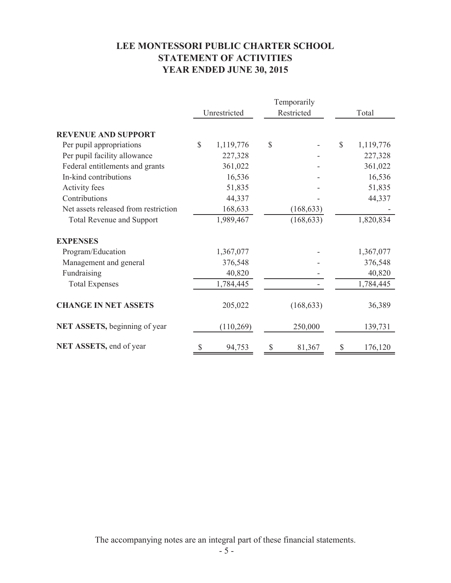# **LEE MONTESSORI PUBLIC CHARTER SCHOOL STATEMENT OF ACTIVITIES YEAR ENDED JUNE 30, 2015**

|                                      | Temporarily  |              |    |            |               |           |  |
|--------------------------------------|--------------|--------------|----|------------|---------------|-----------|--|
|                                      |              | Unrestricted |    | Restricted |               | Total     |  |
| <b>REVENUE AND SUPPORT</b>           |              |              |    |            |               |           |  |
| Per pupil appropriations             | $\mathbb{S}$ | 1,119,776    | \$ |            | $\mathcal{S}$ | 1,119,776 |  |
| Per pupil facility allowance         |              | 227,328      |    |            |               | 227,328   |  |
| Federal entitlements and grants      |              | 361,022      |    |            |               | 361,022   |  |
| In-kind contributions                |              | 16,536       |    |            |               | 16,536    |  |
| Activity fees                        |              | 51,835       |    |            |               | 51,835    |  |
| Contributions                        |              | 44,337       |    |            |               | 44,337    |  |
| Net assets released from restriction |              | 168,633      |    | (168, 633) |               |           |  |
| <b>Total Revenue and Support</b>     |              | 1,989,467    |    | (168, 633) |               | 1,820,834 |  |
| <b>EXPENSES</b>                      |              |              |    |            |               |           |  |
| Program/Education                    |              | 1,367,077    |    |            |               | 1,367,077 |  |
| Management and general               |              | 376,548      |    |            |               | 376,548   |  |
| Fundraising                          |              | 40,820       |    |            |               | 40,820    |  |
| <b>Total Expenses</b>                |              | 1,784,445    |    |            |               | 1,784,445 |  |
| <b>CHANGE IN NET ASSETS</b>          |              | 205,022      |    | (168, 633) |               | 36,389    |  |
| <b>NET ASSETS, beginning of year</b> |              | (110, 269)   |    | 250,000    |               | 139,731   |  |
| NET ASSETS, end of year              | \$           | 94,753       | \$ | 81,367     | \$            | 176,120   |  |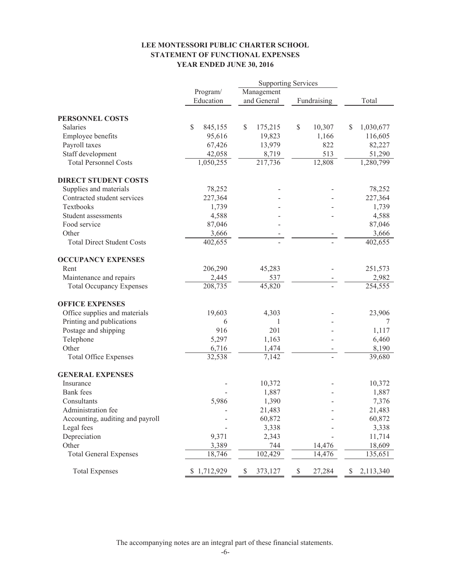#### **LEE MONTESSORI PUBLIC CHARTER SCHOOL STATEMENT OF FUNCTIONAL EXPENSES YEAR ENDED JUNE 30, 2016**

|                                   |               |               | <b>Supporting Services</b> |                           |
|-----------------------------------|---------------|---------------|----------------------------|---------------------------|
|                                   | Program/      | Management    |                            |                           |
|                                   | Education     | and General   | Fundraising                | Total                     |
| PERSONNEL COSTS                   |               |               |                            |                           |
| Salaries                          | \$<br>845,155 | \$<br>175,215 | \$<br>10,307               | S<br>1,030,677            |
| Employee benefits                 | 95,616        | 19,823        | 1,166                      | 116,605                   |
| Payroll taxes                     | 67,426        | 13,979        | 822                        | 82,227                    |
| Staff development                 | 42,058        | 8,719         | 513                        | 51,290                    |
| <b>Total Personnel Costs</b>      | 1,050,255     | 217,736       | 12,808                     | 1,280,799                 |
| <b>DIRECT STUDENT COSTS</b>       |               |               |                            |                           |
| Supplies and materials            | 78,252        |               |                            | 78,252                    |
| Contracted student services       | 227,364       |               |                            | 227,364                   |
| Textbooks                         | 1,739         |               |                            | 1,739                     |
| Student assessments               | 4,588         |               |                            | 4,588                     |
| Food service                      | 87,046        |               |                            | 87,046                    |
| Other                             | 3,666         |               |                            | 3,666                     |
| <b>Total Direct Student Costs</b> | 402,655       |               |                            | 402,655                   |
| <b>OCCUPANCY EXPENSES</b>         |               |               |                            |                           |
| Rent                              | 206,290       | 45,283        |                            | 251,573                   |
| Maintenance and repairs           | 2,445         | 537           |                            | 2,982                     |
| <b>Total Occupancy Expenses</b>   | 208,735       | 45,820        |                            | $\overline{254,}555$      |
| <b>OFFICE EXPENSES</b>            |               |               |                            |                           |
| Office supplies and materials     | 19,603        | 4,303         |                            | 23,906                    |
| Printing and publications         | 6             | 1             |                            | 7                         |
| Postage and shipping              | 916           | 201           |                            | 1,117                     |
| Telephone                         | 5,297         | 1,163         |                            | 6,460                     |
| Other                             | 6,716         | 1,474         |                            | 8,190                     |
| <b>Total Office Expenses</b>      | 32,538        | 7,142         |                            | 39,680                    |
| <b>GENERAL EXPENSES</b>           |               |               |                            |                           |
| Insurance                         |               | 10,372        |                            | 10,372                    |
| <b>Bank</b> fees                  |               | 1,887         |                            | 1,887                     |
| Consultants                       | 5,986         | 1,390         |                            | 7,376                     |
| Administration fee                |               | 21,483        |                            | 21,483                    |
| Accounting, auditing and payroll  |               | 60,872        |                            | 60,872                    |
| Legal fees                        |               | 3,338         |                            | 3,338                     |
| Depreciation                      | 9,371         | 2,343         |                            | 11,714                    |
| Other                             | 3,389         | 744           | 14,476                     | 18,609                    |
| <b>Total General Expenses</b>     | 18,746        | 102,429       | 14,476                     | 135,651                   |
| <b>Total Expenses</b>             | \$1,712,929   | \$<br>373,127 | \$<br>27,284               | 2,113,340<br>$\mathbb{S}$ |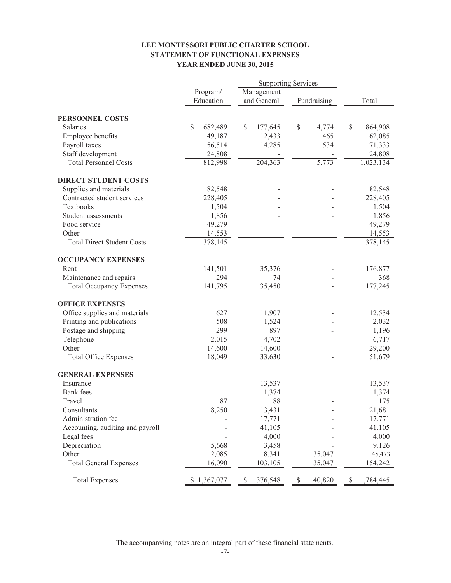#### **LEE MONTESSORI PUBLIC CHARTER SCHOOL STATEMENT OF FUNCTIONAL EXPENSES YEAR ENDED JUNE 30, 2015**

|                                   | <b>Supporting Services</b> |               |                        |                 |
|-----------------------------------|----------------------------|---------------|------------------------|-----------------|
|                                   | Program/                   | Management    |                        |                 |
|                                   | Education                  | and General   | Fundraising            | Total           |
| PERSONNEL COSTS                   |                            |               |                        |                 |
| Salaries                          | \$<br>682,489              | \$<br>177,645 | \$<br>4,774            | \$<br>864,908   |
| Employee benefits                 | 49,187                     | 12,433        | 465                    | 62,085          |
| Payroll taxes                     | 56,514                     | 14,285        | 534                    | 71,333          |
| Staff development                 | 24,808                     |               |                        | 24,808          |
| <b>Total Personnel Costs</b>      | 812,998                    | 204,363       | 5,773                  | 1,023,134       |
| <b>DIRECT STUDENT COSTS</b>       |                            |               |                        |                 |
| Supplies and materials            | 82,548                     |               |                        | 82,548          |
| Contracted student services       | 228,405                    |               |                        | 228,405         |
| Textbooks                         | 1,504                      |               |                        | 1,504           |
| Student assessments               | 1,856                      |               |                        | 1,856           |
| Food service                      | 49,279                     |               |                        | 49,279          |
| Other                             | 14,553                     |               |                        | 14,553          |
| <b>Total Direct Student Costs</b> | 378,145                    |               |                        | 378,145         |
| <b>OCCUPANCY EXPENSES</b>         |                            |               |                        |                 |
| Rent                              | 141,501                    | 35,376        |                        | 176,877         |
| Maintenance and repairs           | 294                        | 74            |                        | 368             |
| <b>Total Occupancy Expenses</b>   | 141,795                    | 35,450        |                        | 177,245         |
| <b>OFFICE EXPENSES</b>            |                            |               |                        |                 |
| Office supplies and materials     | 627                        | 11,907        |                        | 12,534          |
| Printing and publications         | 508                        | 1,524         |                        | 2,032           |
| Postage and shipping              | 299                        | 897           |                        | 1,196           |
| Telephone                         | 2,015                      | 4,702         |                        | 6,717           |
| Other                             | 14,600                     | 14,600        |                        | 29,200          |
| <b>Total Office Expenses</b>      | 18,049                     | 33,630        |                        | 51,679          |
| <b>GENERAL EXPENSES</b>           |                            |               |                        |                 |
| Insurance                         |                            | 13,537        |                        | 13,537          |
| Bank fees                         |                            | 1,374         |                        | 1,374           |
| Travel                            | 87                         | 88            |                        | 175             |
| Consultants                       | 8,250                      | 13,431        |                        | 21,681          |
| Administration fee                |                            | 17,771        |                        | 17,771          |
| Accounting, auditing and payroll  |                            | 41,105        |                        | 41,105          |
| Legal fees                        |                            | 4,000         |                        | 4,000           |
| Depreciation                      | 5,668                      | 3,458         |                        | 9,126           |
| Other                             | 2,085                      | 8,341         | 35,047                 | 45,473          |
| <b>Total General Expenses</b>     | 16,090                     | 103,105       | 35,047                 | 154,242         |
| <b>Total Expenses</b>             | \$1,367,077                | \$<br>376,548 | $\mathbb{S}$<br>40,820 | 1,784,445<br>\$ |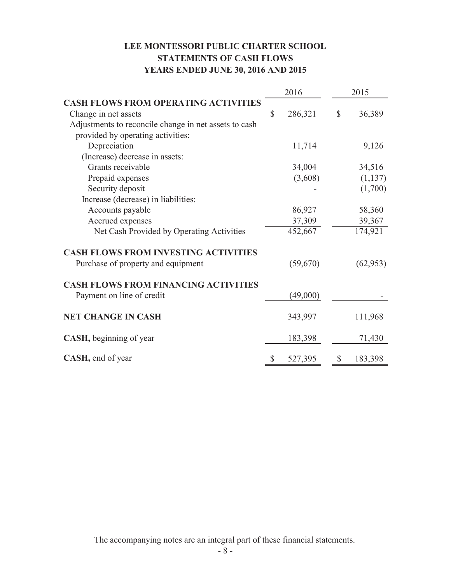# **LEE MONTESSORI PUBLIC CHARTER SCHOOL STATEMENTS OF CASH FLOWS YEARS ENDED JUNE 30, 2016 AND 2015**

|                                                                                            | 2016 |          | 2015         |           |
|--------------------------------------------------------------------------------------------|------|----------|--------------|-----------|
| <b>CASH FLOWS FROM OPERATING ACTIVITIES</b><br>Change in net assets                        | \$   | 286,321  | \$           | 36,389    |
| Adjustments to reconcile change in net assets to cash<br>provided by operating activities: |      |          |              |           |
| Depreciation<br>(Increase) decrease in assets:                                             |      | 11,714   |              | 9,126     |
| Grants receivable                                                                          |      | 34,004   |              | 34,516    |
| Prepaid expenses                                                                           |      | (3,608)  |              | (1,137)   |
| Security deposit                                                                           |      |          |              | (1,700)   |
| Increase (decrease) in liabilities:                                                        |      |          |              |           |
| Accounts payable                                                                           |      | 86,927   |              | 58,360    |
| Accrued expenses                                                                           |      | 37,309   |              | 39,367    |
| Net Cash Provided by Operating Activities                                                  |      | 452,667  |              | 174,921   |
| <b>CASH FLOWS FROM INVESTING ACTIVITIES</b>                                                |      |          |              |           |
| Purchase of property and equipment                                                         |      | (59,670) |              | (62, 953) |
| <b>CASH FLOWS FROM FINANCING ACTIVITIES</b>                                                |      |          |              |           |
| Payment on line of credit                                                                  |      | (49,000) |              |           |
| <b>NET CHANGE IN CASH</b>                                                                  |      | 343,997  |              | 111,968   |
| <b>CASH</b> , beginning of year                                                            |      | 183,398  |              | 71,430    |
| CASH, end of year                                                                          | \$   | 527,395  | $\mathbb{S}$ | 183,398   |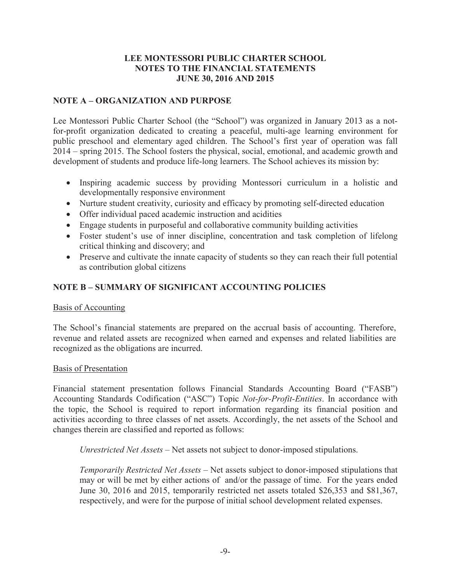## **NOTE A – ORGANIZATION AND PURPOSE**

Lee Montessori Public Charter School (the "School") was organized in January 2013 as a notfor-profit organization dedicated to creating a peaceful, multi-age learning environment for public preschool and elementary aged children. The School's first year of operation was fall 2014 – spring 2015. The School fosters the physical, social, emotional, and academic growth and development of students and produce life-long learners. The School achieves its mission by:

- ! Inspiring academic success by providing Montessori curriculum in a holistic and developmentally responsive environment
- ! Nurture student creativity, curiosity and efficacy by promoting self-directed education
- ! Offer individual paced academic instruction and acidities
- Engage students in purposeful and collaborative community building activities
- Foster student's use of inner discipline, concentration and task completion of lifelong critical thinking and discovery; and
- Preserve and cultivate the innate capacity of students so they can reach their full potential as contribution global citizens

# **NOTE B – SUMMARY OF SIGNIFICANT ACCOUNTING POLICIES**

#### Basis of Accounting

The School's financial statements are prepared on the accrual basis of accounting. Therefore, revenue and related assets are recognized when earned and expenses and related liabilities are recognized as the obligations are incurred.

#### Basis of Presentation

Financial statement presentation follows Financial Standards Accounting Board ("FASB") Accounting Standards Codification ("ASC") Topic *Not-for-Profit-Entities*. In accordance with the topic, the School is required to report information regarding its financial position and activities according to three classes of net assets. Accordingly, the net assets of the School and changes therein are classified and reported as follows:

*Unrestricted Net Assets* – Net assets not subject to donor-imposed stipulations.

*Temporarily Restricted Net Assets* – Net assets subject to donor-imposed stipulations that may or will be met by either actions of and/or the passage of time. For the years ended June 30, 2016 and 2015, temporarily restricted net assets totaled \$26,353 and \$81,367, respectively, and were for the purpose of initial school development related expenses.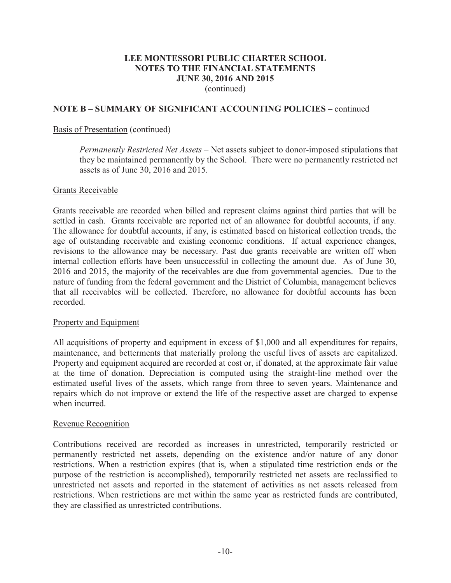### **NOTE B – SUMMARY OF SIGNIFICANT ACCOUNTING POLICIES –** continued

#### Basis of Presentation (continued)

*Permanently Restricted Net Assets* – Net assets subject to donor-imposed stipulations that they be maintained permanently by the School. There were no permanently restricted net assets as of June 30, 2016 and 2015.

#### Grants Receivable

Grants receivable are recorded when billed and represent claims against third parties that will be settled in cash. Grants receivable are reported net of an allowance for doubtful accounts, if any. The allowance for doubtful accounts, if any, is estimated based on historical collection trends, the age of outstanding receivable and existing economic conditions. If actual experience changes, revisions to the allowance may be necessary. Past due grants receivable are written off when internal collection efforts have been unsuccessful in collecting the amount due. As of June 30, 2016 and 2015, the majority of the receivables are due from governmental agencies. Due to the nature of funding from the federal government and the District of Columbia, management believes that all receivables will be collected. Therefore, no allowance for doubtful accounts has been recorded.

#### Property and Equipment

All acquisitions of property and equipment in excess of \$1,000 and all expenditures for repairs, maintenance, and betterments that materially prolong the useful lives of assets are capitalized. Property and equipment acquired are recorded at cost or, if donated, at the approximate fair value at the time of donation. Depreciation is computed using the straight-line method over the estimated useful lives of the assets, which range from three to seven years. Maintenance and repairs which do not improve or extend the life of the respective asset are charged to expense when incurred

#### Revenue Recognition

Contributions received are recorded as increases in unrestricted, temporarily restricted or permanently restricted net assets, depending on the existence and/or nature of any donor restrictions. When a restriction expires (that is, when a stipulated time restriction ends or the purpose of the restriction is accomplished), temporarily restricted net assets are reclassified to unrestricted net assets and reported in the statement of activities as net assets released from restrictions. When restrictions are met within the same year as restricted funds are contributed, they are classified as unrestricted contributions.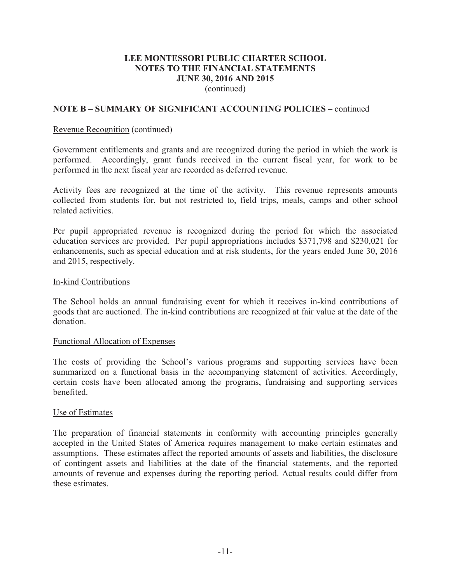### **NOTE B – SUMMARY OF SIGNIFICANT ACCOUNTING POLICIES –** continued

#### Revenue Recognition (continued)

Government entitlements and grants and are recognized during the period in which the work is performed. Accordingly, grant funds received in the current fiscal year, for work to be performed in the next fiscal year are recorded as deferred revenue.

Activity fees are recognized at the time of the activity. This revenue represents amounts collected from students for, but not restricted to, field trips, meals, camps and other school related activities.

Per pupil appropriated revenue is recognized during the period for which the associated education services are provided. Per pupil appropriations includes \$371,798 and \$230,021 for enhancements, such as special education and at risk students, for the years ended June 30, 2016 and 2015, respectively.

#### In-kind Contributions

The School holds an annual fundraising event for which it receives in-kind contributions of goods that are auctioned. The in-kind contributions are recognized at fair value at the date of the donation.

#### Functional Allocation of Expenses

The costs of providing the School's various programs and supporting services have been summarized on a functional basis in the accompanying statement of activities. Accordingly, certain costs have been allocated among the programs, fundraising and supporting services benefited.

#### Use of Estimates

The preparation of financial statements in conformity with accounting principles generally accepted in the United States of America requires management to make certain estimates and assumptions. These estimates affect the reported amounts of assets and liabilities, the disclosure of contingent assets and liabilities at the date of the financial statements, and the reported amounts of revenue and expenses during the reporting period. Actual results could differ from these estimates.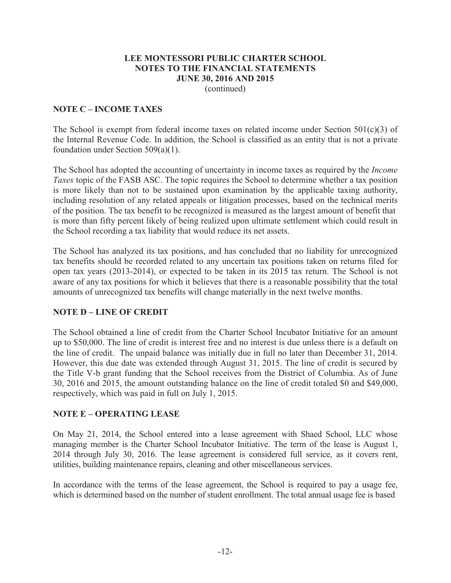### **NOTE C – INCOME TAXES**

The School is exempt from federal income taxes on related income under Section  $501(c)(3)$  of the Internal Revenue Code. In addition, the School is classified as an entity that is not a private foundation under Section 509(a)(1).

The School has adopted the accounting of uncertainty in income taxes as required by the *Income Taxes* topic of the FASB ASC. The topic requires the School to determine whether a tax position is more likely than not to be sustained upon examination by the applicable taxing authority, including resolution of any related appeals or litigation processes, based on the technical merits of the position. The tax benefit to be recognized is measured as the largest amount of benefit that is more than fifty percent likely of being realized upon ultimate settlement which could result in the School recording a tax liability that would reduce its net assets.

The School has analyzed its tax positions, and has concluded that no liability for unrecognized tax benefits should be recorded related to any uncertain tax positions taken on returns filed for open tax years (2013-2014), or expected to be taken in its 2015 tax return. The School is not aware of any tax positions for which it believes that there is a reasonable possibility that the total amounts of unrecognized tax benefits will change materially in the next twelve months.

#### **NOTE D – LINE OF CREDIT**

The School obtained a line of credit from the Charter School Incubator Initiative for an amount up to \$50,000. The line of credit is interest free and no interest is due unless there is a default on the line of credit. The unpaid balance was initially due in full no later than December 31, 2014. However, this due date was extended through August 31, 2015. The line of credit is secured by the Title V-b grant funding that the School receives from the District of Columbia. As of June 30, 2016 and 2015, the amount outstanding balance on the line of credit totaled \$0 and \$49,000, respectively, which was paid in full on July 1, 2015.

#### **NOTE E – OPERATING LEASE**

On May 21, 2014, the School entered into a lease agreement with Shaed School, LLC whose managing member is the Charter School Incubator Initiative. The term of the lease is August 1, 2014 through July 30, 2016. The lease agreement is considered full service, as it covers rent, utilities, building maintenance repairs, cleaning and other miscellaneous services.

In accordance with the terms of the lease agreement, the School is required to pay a usage fee, which is determined based on the number of student enrollment. The total annual usage fee is based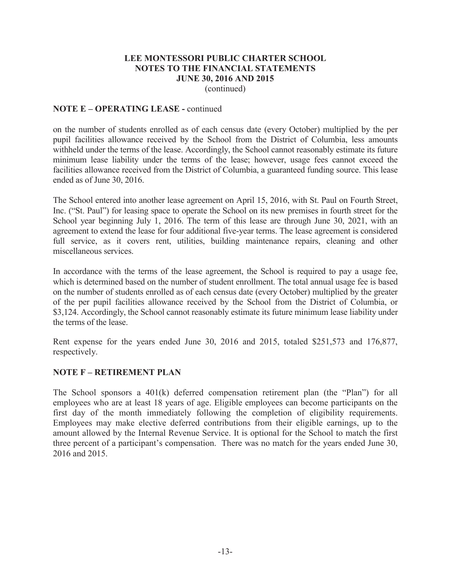#### **NOTE E – OPERATING LEASE -** continued

on the number of students enrolled as of each census date (every October) multiplied by the per pupil facilities allowance received by the School from the District of Columbia, less amounts withheld under the terms of the lease. Accordingly, the School cannot reasonably estimate its future minimum lease liability under the terms of the lease; however, usage fees cannot exceed the facilities allowance received from the District of Columbia, a guaranteed funding source. This lease ended as of June 30, 2016.

The School entered into another lease agreement on April 15, 2016, with St. Paul on Fourth Street, Inc. ("St. Paul") for leasing space to operate the School on its new premises in fourth street for the School year beginning July 1, 2016. The term of this lease are through June 30, 2021, with an agreement to extend the lease for four additional five-year terms. The lease agreement is considered full service, as it covers rent, utilities, building maintenance repairs, cleaning and other miscellaneous services.

In accordance with the terms of the lease agreement, the School is required to pay a usage fee, which is determined based on the number of student enrollment. The total annual usage fee is based on the number of students enrolled as of each census date (every October) multiplied by the greater of the per pupil facilities allowance received by the School from the District of Columbia, or \$3,124. Accordingly, the School cannot reasonably estimate its future minimum lease liability under the terms of the lease.

Rent expense for the years ended June 30, 2016 and 2015, totaled \$251,573 and 176,877, respectively.

## **NOTE F – RETIREMENT PLAN**

The School sponsors a 401(k) deferred compensation retirement plan (the "Plan") for all employees who are at least 18 years of age. Eligible employees can become participants on the first day of the month immediately following the completion of eligibility requirements. Employees may make elective deferred contributions from their eligible earnings, up to the amount allowed by the Internal Revenue Service. It is optional for the School to match the first three percent of a participant's compensation. There was no match for the years ended June 30, 2016 and 2015.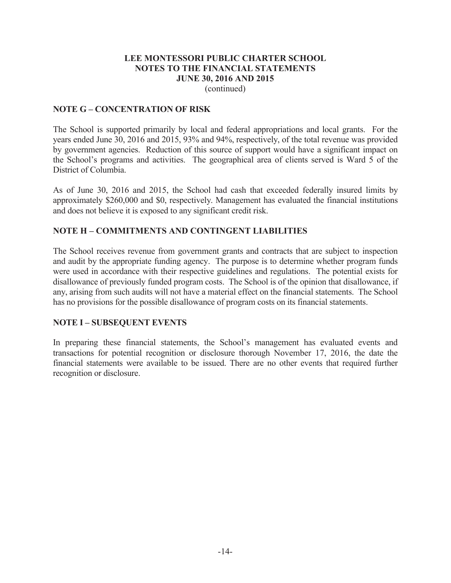### **NOTE G – CONCENTRATION OF RISK**

The School is supported primarily by local and federal appropriations and local grants. For the years ended June 30, 2016 and 2015, 93% and 94%, respectively, of the total revenue was provided by government agencies. Reduction of this source of support would have a significant impact on the School's programs and activities. The geographical area of clients served is Ward 5 of the District of Columbia.

As of June 30, 2016 and 2015, the School had cash that exceeded federally insured limits by approximately \$260,000 and \$0, respectively. Management has evaluated the financial institutions and does not believe it is exposed to any significant credit risk.

## **NOTE H – COMMITMENTS AND CONTINGENT LIABILITIES**

The School receives revenue from government grants and contracts that are subject to inspection and audit by the appropriate funding agency. The purpose is to determine whether program funds were used in accordance with their respective guidelines and regulations. The potential exists for disallowance of previously funded program costs. The School is of the opinion that disallowance, if any, arising from such audits will not have a material effect on the financial statements. The School has no provisions for the possible disallowance of program costs on its financial statements.

#### **NOTE I – SUBSEQUENT EVENTS**

In preparing these financial statements, the School's management has evaluated events and transactions for potential recognition or disclosure thorough November 17, 2016, the date the financial statements were available to be issued. There are no other events that required further recognition or disclosure.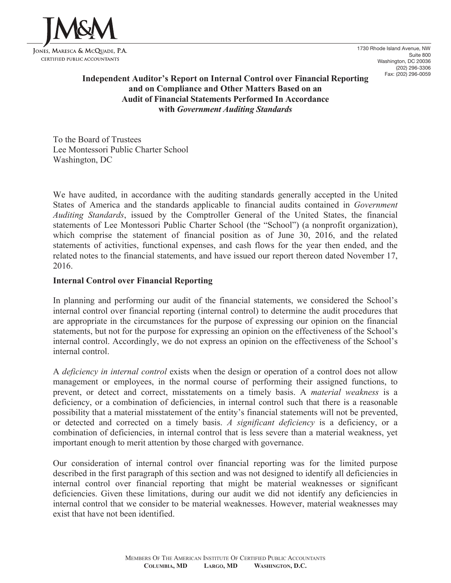

1730 Rhode Island Avenue, NW Suite 800 Washington, DC 20036 (202) 296-3306 Fax: (202) 296-0059

## **Independent Auditor's Report on Internal Control over Financial Reporting and on Compliance and Other Matters Based on an Audit of Financial Statements Performed In Accordance with** *Government Auditing Standards*

To the Board of Trustees Lee Montessori Public Charter School Washington, DC

We have audited, in accordance with the auditing standards generally accepted in the United States of America and the standards applicable to financial audits contained in *Government Auditing Standards*, issued by the Comptroller General of the United States, the financial statements of Lee Montessori Public Charter School (the "School") (a nonprofit organization), which comprise the statement of financial position as of June 30, 2016, and the related statements of activities, functional expenses, and cash flows for the year then ended, and the related notes to the financial statements, and have issued our report thereon dated November 17, 2016.

### **Internal Control over Financial Reporting**

In planning and performing our audit of the financial statements, we considered the School's internal control over financial reporting (internal control) to determine the audit procedures that are appropriate in the circumstances for the purpose of expressing our opinion on the financial statements, but not for the purpose for expressing an opinion on the effectiveness of the School's internal control. Accordingly, we do not express an opinion on the effectiveness of the School's internal control.

A *deficiency in internal control* exists when the design or operation of a control does not allow management or employees, in the normal course of performing their assigned functions, to prevent, or detect and correct, misstatements on a timely basis. A *material weakness* is a deficiency, or a combination of deficiencies, in internal control such that there is a reasonable possibility that a material misstatement of the entity's financial statements will not be prevented, or detected and corrected on a timely basis. *A significant deficiency* is a deficiency, or a combination of deficiencies, in internal control that is less severe than a material weakness, yet important enough to merit attention by those charged with governance.

Our consideration of internal control over financial reporting was for the limited purpose described in the first paragraph of this section and was not designed to identify all deficiencies in internal control over financial reporting that might be material weaknesses or significant deficiencies. Given these limitations, during our audit we did not identify any deficiencies in internal control that we consider to be material weaknesses. However, material weaknesses may exist that have not been identified.